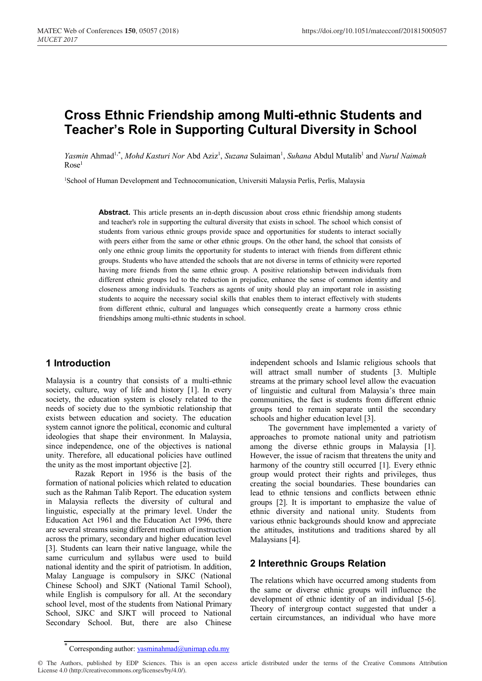# **Cross Ethnic Friendship among Multi-ethnic Students and Teacher's Role in Supporting Cultural Diversity in School**

Yasmin Ahmad<sup>1,\*</sup>, *Mohd Kasturi Nor* Abd Aziz<sup>1</sup>, *Suzana* Sulaiman<sup>1</sup>, *Suhana* Abdul Mutalib<sup>1</sup> and *Nurul Naimah*  $Rose<sup>1</sup>$ 

<sup>1</sup>School of Human Development and Technocomunication, Universiti Malaysia Perlis, Perlis, Malaysia

**Abstract.** This article presents an in-depth discussion about cross ethnic friendship among students and teacher's role in supporting the cultural diversity that exists in school. The school which consist of students from various ethnic groups provide space and opportunities for students to interact socially with peers either from the same or other ethnic groups. On the other hand, the school that consists of only one ethnic group limits the opportunity for students to interact with friends from different ethnic groups. Students who have attended the schools that are not diverse in terms of ethnicity were reported having more friends from the same ethnic group. A positive relationship between individuals from different ethnic groups led to the reduction in prejudice, enhance the sense of common identity and closeness among individuals. Teachers as agents of unity should play an important role in assisting students to acquire the necessary social skills that enables them to interact effectively with students from different ethnic, cultural and languages which consequently create a harmony cross ethnic friendships among multi-ethnic students in school.

#### **1 Introduction**

Malaysia is a country that consists of a multi-ethnic society, culture, way of life and history [1]. In every society, the education system is closely related to the needs of society due to the symbiotic relationship that exists between education and society. The education system cannot ignore the political, economic and cultural ideologies that shape their environment. In Malaysia, since independence, one of the objectives is national unity. Therefore, all educational policies have outlined the unity as the most important objective [2].

Razak Report in 1956 is the basis of the formation of national policies which related to education such as the Rahman Talib Report. The education system in Malaysia reflects the diversity of cultural and linguistic, especially at the primary level. Under the Education Act 1961 and the Education Act 1996, there are several streams using different medium of instruction across the primary, secondary and higher education level [3]. Students can learn their native language, while the same curriculum and syllabus were used to build national identity and the spirit of patriotism. In addition, Malay Language is compulsory in SJKC (National Chinese School) and SJKT (National Tamil School), while English is compulsory for all. At the secondary school level, most of the students from National Primary School, SJKC and SJKT will proceed to National Secondary School. But, there are also Chinese

independent schools and Islamic religious schools that will attract small number of students [3. Multiple streams at the primary school level allow the evacuation of linguistic and cultural from Malaysia's three main communities, the fact is students from different ethnic groups tend to remain separate until the secondary schools and higher education level [3].

The government have implemented a variety of approaches to promote national unity and patriotism among the diverse ethnic groups in Malaysia [1]. However, the issue of racism that threatens the unity and harmony of the country still occurred [1]. Every ethnic group would protect their rights and privileges, thus creating the social boundaries. These boundaries can lead to ethnic tensions and conflicts between ethnic groups [2]. It is important to emphasize the value of ethnic diversity and national unity. Students from various ethnic backgrounds should know and appreciate the attitudes, institutions and traditions shared by all Malaysians [4].

#### **2 Interethnic Groups Relation**

The relations which have occurred among students from the same or diverse ethnic groups will influence the development of ethnic identity of an individual [5-6]. Theory of intergroup contact suggested that under a certain circumstances, an individual who have more

<sup>\*</sup> Corresponding author: yasminahmad@unimap.edu.my

<sup>©</sup> The Authors, published by EDP Sciences. This is an open access article distributed under the terms of the Creative Commons Attribution License 4.0 (http://creativecommons.org/licenses/by/4.0/).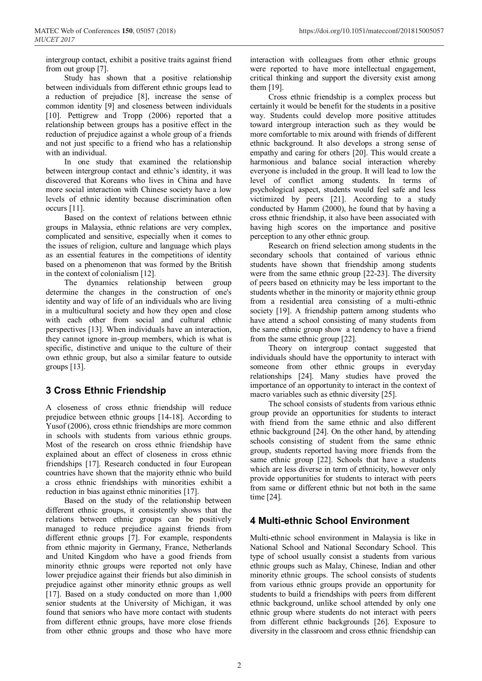intergroup contact, exhibit a positive traits against friend from out group [7].

Study has shown that a positive relationship between individuals from different ethnic groups lead to a reduction of prejudice [8], increase the sense of common identity [9] and closeness between individuals [10]. Pettigrew and Tropp (2006) reported that a relationship between groups has a positive effect in the reduction of prejudice against a whole group of a friends and not just specific to a friend who has a relationship with an individual.

In one study that examined the relationship between intergroup contact and ethnic's identity, it was discovered that Koreans who lives in China and have more social interaction with Chinese society have a low levels of ethnic identity because discrimination often occurs [11].

Based on the context of relations between ethnic groups in Malaysia, ethnic relations are very complex, complicated and sensitive, especially when it comes to the issues of religion, culture and language which plays as an essential features in the competitions of identity based on a phenomenon that was formed by the British in the context of colonialism [12].

The dynamics relationship between group determine the changes in the construction of one's identity and way of life of an individuals who are living in a multicultural society and how they open and close with each other from social and cultural ethnic perspectives [13]. When individuals have an interaction, they cannot ignore in-group members, which is what is specific, distinctive and unique to the culture of their own ethnic group, but also a similar feature to outside groups [13].

## **3 Cross Ethnic Friendship**

A closeness of cross ethnic friendship will reduce prejudice between ethnic groups [14-18]. According to Yusof (2006), cross ethnic friendships are more common in schools with students from various ethnic groups. Most of the research on cross ethnic friendship have explained about an effect of closeness in cross ethnic friendships [17]. Research conducted in four European countries have shown that the majority ethnic who build a cross ethnic friendships with minorities exhibit a reduction in bias against ethnic minorities [17].

Based on the study of the relationship between different ethnic groups, it consistently shows that the relations between ethnic groups can be positively managed to reduce prejudice against friends from different ethnic groups [7]. For example, respondents from ethnic majority in Germany, France, Netherlands and United Kingdom who have a good friends from minority ethnic groups were reported not only have lower prejudice against their friends but also diminish in prejudice against other minority ethnic groups as well [17]. Based on a study conducted on more than 1,000 senior students at the University of Michigan, it was found that seniors who have more contact with students from different ethnic groups, have more close friends from other ethnic groups and those who have more

interaction with colleagues from other ethnic groups were reported to have more intellectual engagement, critical thinking and support the diversity exist among them [19].

Cross ethnic friendship is a complex process but certainly it would be benefit for the students in a positive way. Students could develop more positive attitudes toward intergroup interaction such as they would be more comfortable to mix around with friends of different ethnic background. It also develops a strong sense of empathy and caring for others [20]. This would create a harmonious and balance social interaction whereby everyone is included in the group. It will lead to low the level of conflict among students. In terms of psychological aspect, students would feel safe and less victimized by peers [21]. According to a study conducted by Hamm (2000), he found that by having a cross ethnic friendship, it also have been associated with having high scores on the importance and positive perception to any other ethnic group.

Research on friend selection among students in the secondary schools that contained of various ethnic students have shown that friendship among students were from the same ethnic group [22-23]. The diversity of peers based on ethnicity may be less important to the students whether in the minority or majority ethnic group from a residential area consisting of a multi-ethnic society [19]. A friendship pattern among students who have attend a school consisting of many students from the same ethnic group show a tendency to have a friend from the same ethnic group [22].

Theory on intergroup contact suggested that individuals should have the opportunity to interact with someone from other ethnic groups in everyday relationships [24]. Many studies have proved the importance of an opportunity to interact in the context of macro variables such as ethnic diversity [25].

The school consists of students from various ethnic group provide an opportunities for students to interact with friend from the same ethnic and also different ethnic background [24]. On the other hand, by attending schools consisting of student from the same ethnic group, students reported having more friends from the same ethnic group [22]. Schools that have a students which are less diverse in term of ethnicity, however only provide opportunities for students to interact with peers from same or different ethnic but not both in the same time [24].

## **4 Multi-ethnic School Environment**

Multi-ethnic school environment in Malaysia is like in National School and National Secondary School. This type of school usually consist a students from various ethnic groups such as Malay, Chinese, Indian and other minority ethnic groups. The school consists of students from various ethnic groups provide an opportunity for students to build a friendships with peers from different ethnic background, unlike school attended by only one ethnic group where students do not interact with peers from different ethnic backgrounds [26]. Exposure to diversity in the classroom and cross ethnic friendship can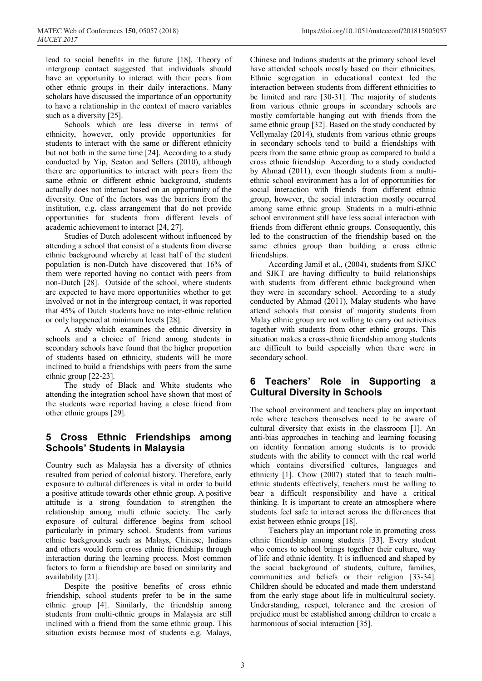lead to social benefits in the future [18]. Theory of intergroup contact suggested that individuals should have an opportunity to interact with their peers from other ethnic groups in their daily interactions. Many scholars have discussed the importance of an opportunity to have a relationship in the context of macro variables such as a diversity [25].

Schools which are less diverse in terms of ethnicity, however, only provide opportunities for students to interact with the same or different ethnicity but not both in the same time [24]. According to a study conducted by Yip, Seaton and Sellers (2010), although there are opportunities to interact with peers from the same ethnic or different ethnic background, students actually does not interact based on an opportunity of the diversity. One of the factors was the barriers from the institution, e.g. class arrangement that do not provide opportunities for students from different levels of academic achievement to interact [24, 27].

Studies of Dutch adolescent without influenced by attending a school that consist of a students from diverse ethnic background whereby at least half of the student population is non-Dutch have discovered that 16% of them were reported having no contact with peers from non-Dutch [28]. Outside of the school, where students are expected to have more opportunities whether to get involved or not in the intergroup contact, it was reported that 45% of Dutch students have no inter-ethnic relation or only happened at minimum levels [28].

A study which examines the ethnic diversity in schools and a choice of friend among students in secondary schools have found that the higher proportion of students based on ethnicity, students will be more inclined to build a friendships with peers from the same ethnic group [22-23].

The study of Black and White students who attending the integration school have shown that most of the students were reported having a close friend from other ethnic groups [29].

## **5 Cross Ethnic Friendships among Schools' Students in Malaysia**

Country such as Malaysia has a diversity of ethnics resulted from period of colonial history. Therefore, early exposure to cultural differences is vital in order to build a positive attitude towards other ethnic group. A positive attitude is a strong foundation to strengthen the relationship among multi ethnic society. The early exposure of cultural difference begins from school particularly in primary school. Students from various ethnic backgrounds such as Malays, Chinese, Indians and others would form cross ethnic friendships through interaction during the learning process. Most common factors to form a friendship are based on similarity and availability [21].

Despite the positive benefits of cross ethnic friendship, school students prefer to be in the same ethnic group [4]. Similarly, the friendship among students from multi-ethnic groups in Malaysia are still inclined with a friend from the same ethnic group. This situation exists because most of students e.g. Malays,

Chinese and Indians students at the primary school level have attended schools mostly based on their ethnicities. Ethnic segregation in educational context led the interaction between students from different ethnicities to be limited and rare [30-31]. The majority of students from various ethnic groups in secondary schools are mostly comfortable hanging out with friends from the same ethnic group [32]. Based on the study conducted by Vellymalay (2014), students from various ethnic groups in secondary schools tend to build a friendships with peers from the same ethnic group as compared to build a cross ethnic friendship. According to a study conducted by Ahmad (2011), even though students from a multiethnic school environment has a lot of opportunities for social interaction with friends from different ethnic group, however, the social interaction mostly occurred among same ethnic group. Students in a multi-ethnic school environment still have less social interaction with friends from different ethnic groups. Consequently, this led to the construction of the friendship based on the

friendships. According Jamil et al., (2004), students from SJKC and SJKT are having difficulty to build relationships with students from different ethnic background when they were in secondary school. According to a study conducted by Ahmad (2011), Malay students who have attend schools that consist of majority students from Malay ethnic group are not willing to carry out activities together with students from other ethnic groups. This situation makes a cross-ethnic friendship among students are difficult to build especially when there were in secondary school.

same ethnics group than building a cross ethnic

## **6 Teachers' Role in Supporting a Cultural Diversity in Schools**

The school environment and teachers play an important role where teachers themselves need to be aware of cultural diversity that exists in the classroom [1]. An anti-bias approaches in teaching and learning focusing on identity formation among students is to provide students with the ability to connect with the real world which contains diversified cultures, languages and ethnicity [1]. Chow (2007) stated that to teach multiethnic students effectively, teachers must be willing to bear a difficult responsibility and have a critical thinking. It is important to create an atmosphere where students feel safe to interact across the differences that exist between ethnic groups [18].

Teachers play an important role in promoting cross ethnic friendship among students [33]. Every student who comes to school brings together their culture, way of life and ethnic identity. It is influenced and shaped by the social background of students, culture, families, communities and beliefs or their religion [33-34]. Children should be educated and made them understand from the early stage about life in multicultural society. Understanding, respect, tolerance and the erosion of prejudice must be established among children to create a harmonious of social interaction [35].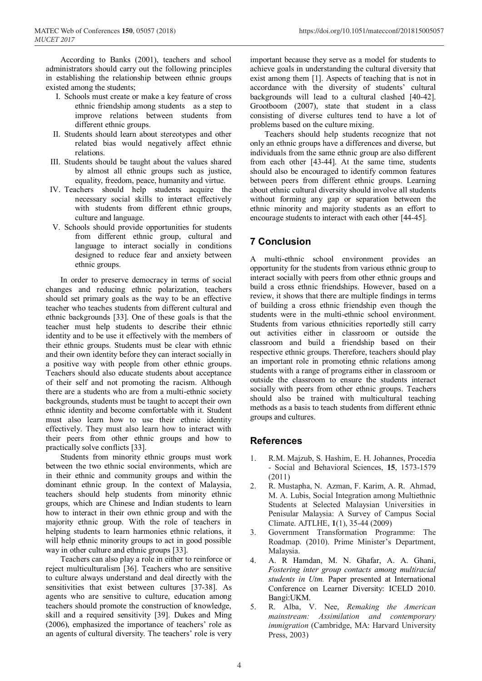MATEC Web of Conferences **150**, 05057 (2018) https://doi.org/10.1051/matecconf/201815005057

According to Banks (2001), teachers and school administrators should carry out the following principles in establishing the relationship between ethnic groups existed among the students;

- I. Schools must create or make a key feature of cross ethnic friendship among students as a step to improve relations between students from different ethnic groups.
- II. Students should learn about stereotypes and other related bias would negatively affect ethnic relations.
- III. Students should be taught about the values shared by almost all ethnic groups such as justice, equality, freedom, peace, humanity and virtue.
- IV. Teachers should help students acquire the necessary social skills to interact effectively with students from different ethnic groups, culture and language.
- V. Schools should provide opportunities for students from different ethnic group, cultural and language to interact socially in conditions designed to reduce fear and anxiety between ethnic groups.

In order to preserve democracy in terms of social changes and reducing ethnic polarization, teachers should set primary goals as the way to be an effective teacher who teaches students from different cultural and ethnic backgrounds [33]. One of these goals is that the teacher must help students to describe their ethnic identity and to be use it effectively with the members of their ethnic groups. Students must be clear with ethnic and their own identity before they can interact socially in a positive way with people from other ethnic groups. Teachers should also educate students about acceptance of their self and not promoting the racism. Although there are a students who are from a multi-ethnic society backgrounds, students must be taught to accept their own ethnic identity and become comfortable with it. Student must also learn how to use their ethnic identity effectively. They must also learn how to interact with their peers from other ethnic groups and how to practically solve conflicts [33].

Students from minority ethnic groups must work between the two ethnic social environments, which are in their ethnic and community groups and within the dominant ethnic group. In the context of Malaysia, teachers should help students from minority ethnic groups, which are Chinese and Indian students to learn how to interact in their own ethnic group and with the majority ethnic group. With the role of teachers in helping students to learn harmonies ethnic relations, it will help ethnic minority groups to act in good possible way in other culture and ethnic groups [33].

Teachers can also play a role in either to reinforce or reject multiculturalism [36]. Teachers who are sensitive to culture always understand and deal directly with the sensitivities that exist between cultures [37-38]. As agents who are sensitive to culture, education among teachers should promote the construction of knowledge, skill and a required sensitivity [39]. Dukes and Ming (2006), emphasized the importance of teachers' role as an agents of cultural diversity. The teachers' role is very important because they serve as a model for students to achieve goals in understanding the cultural diversity that exist among them [1]. Aspects of teaching that is not in accordance with the diversity of students' cultural backgrounds will lead to a cultural clashed [40-42]. Grootboom (2007), state that student in a class consisting of diverse cultures tend to have a lot of problems based on the culture mixing.

Teachers should help students recognize that not only an ethnic groups have a differences and diverse, but individuals from the same ethnic group are also different from each other [43-44]. At the same time, students should also be encouraged to identify common features between peers from different ethnic groups. Learning about ethnic cultural diversity should involve all students without forming any gap or separation between the ethnic minority and majority students as an effort to encourage students to interact with each other [44-45].

## **7 Conclusion**

A multi-ethnic school environment provides an opportunity for the students from various ethnic group to interact socially with peers from other ethnic groups and build a cross ethnic friendships. However, based on a review, it shows that there are multiple findings in terms of building a cross ethnic friendship even though the students were in the multi-ethnic school environment. Students from various ethnicities reportedly still carry out activities either in classroom or outside the classroom and build a friendship based on their respective ethnic groups. Therefore, teachers should play an important role in promoting ethnic relations among students with a range of programs either in classroom or outside the classroom to ensure the students interact socially with peers from other ethnic groups. Teachers should also be trained with multicultural teaching methods as a basis to teach students from different ethnic groups and cultures.

#### **References**

- 1. R.M. Majzub, S. Hashim, E. H. Johannes, Procedia - Social and Behavioral Sciences, **15**, 1573-1579 (2011)
- 2. R. Mustapha, N. Azman, F. Karim, A. R. Ahmad, M. A. Lubis, Social Integration among Multiethnic Students at Selected Malaysian Universities in Penisular Malaysia: A Survey of Campus Social Climate. AJTLHE, **1**(1), 35-44 (2009)
- 3. Government Transformation Programme: The Roadmap. (2010). Prime Minister's Department, Malaysia.
- 4. A. R Hamdan, M. N. Ghafar, A. A. Ghani, *Fostering inter group contacts among multiracial students in Utm.* Paper presented at International Conference on Learner Diversity: ICELD 2010. Bangi:UKM.
- 5. R. Alba, V. Nee, *Remaking the American mainstream: Assimilation and contemporary immigration* (Cambridge, MA: Harvard University Press, 2003)